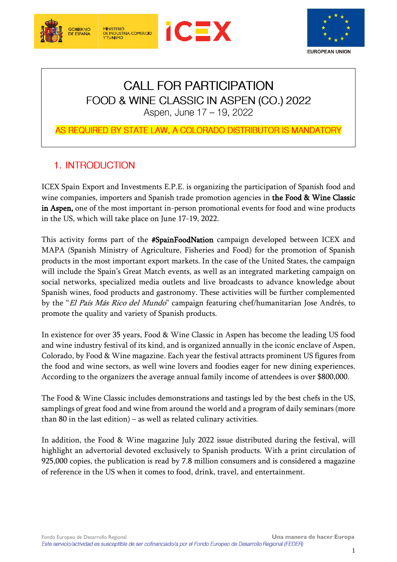





# **CALL FOR PARTICIPATION** FOOD & WINE CLASSIC IN ASPEN (CO.) 2022 Aspen, June 17 - 19, 2022

## AS REQUIRED BY STATE LAW, A COLORADO DISTRIBUTOR IS MANDATORY

## 1. INTRODUCTION

**MINISTERIO** 

MINISTERIO<br>DE INDUSTRIA, COMERCIO<br>Y TURISMO

ICEX Spain Export and Investments E.P.E. is organizing the participation of Spanish food and wine companies, importers and Spanish trade promotion agencies in the Food & Wine Classic in Aspen, one of the most important in-person promotional events for food and wine products in the US, which will take place on June 17-19, 2022.

This activity forms part of the #SpainFoodNation campaign developed between ICEX and MAPA (Spanish Ministry of Agriculture, Fisheries and Food) for the promotion of Spanish products in the most important export markets. In the case of the United States, the campaign will include the Spain's Great Match events, as well as an integrated marketing campaign on social networks, specialized media outlets and live broadcasts to advance knowledge about Spanish wines, food products and gastronomy. These activities will be further complemented by the "El País Más Rico del Mundo" campaign featuring chef/humanitarian Jose Andrés, to promote the quality and variety of Spanish products.

In existence for over 35 years, Food & Wine Classic in Aspen has become the leading US food and wine industry festival of its kind, and is organized annually in the iconic enclave of Aspen, Colorado, by Food & Wine magazine. Each year the festival attracts prominent US figures from the food and wine sectors, as well wine lovers and foodies eager for new dining experiences. According to the organizers the average annual family income of attendees is over \$800,000.

The Food & Wine Classic includes demonstrations and tastings led by the best chefs in the US, samplings of great food and wine from around the world and a program of daily seminars (more than 80 in the last edition) – as well as related culinary activities.

In addition, the Food & Wine magazine July 2022 issue distributed during the festival, will highlight an advertorial devoted exclusively to Spanish products. With a print circulation of 925,000 copies, the publication is read by 7.8 million consumers and is considered a magazine of reference in the US when it comes to food, drink, travel, and entertainment.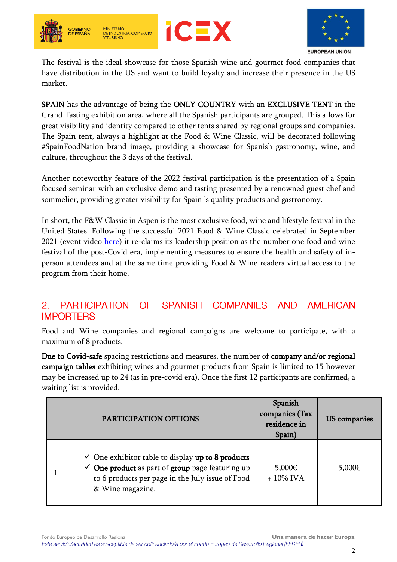





The festival is the ideal showcase for those Spanish wine and gourmet food companies that have distribution in the US and want to build loyalty and increase their presence in the US market.

SPAIN has the advantage of being the ONLY COUNTRY with an EXCLUSIVE TENT in the Grand Tasting exhibition area, where all the Spanish participants are grouped. This allows for great visibility and identity compared to other tents shared by regional groups and companies. The Spain tent, always a highlight at the Food & Wine Classic, will be decorated following #SpainFoodNation brand image, providing a showcase for Spanish gastronomy, wine, and culture, throughout the 3 days of the festival.

Another noteworthy feature of the 2022 festival participation is the presentation of a Spain focused seminar with an exclusive demo and tasting presented by a renowned guest chef and sommelier, providing greater visibility for Spain´s quality products and gastronomy.

In short, the F&W Classic in Aspen is the most exclusive food, wine and lifestyle festival in the United States. Following the successful 2021 Food & Wine Classic celebrated in September 2021 (event video [here\)](https://www.foodswinesfromspain.com/spanishfoodwine/global/upcoming-events/trade-shows-detail-two/food-wine-aspen-2021.html) it re-claims its leadership position as the number one food and wine festival of the post-Covid era, implementing measures to ensure the health and safety of inperson attendees and at the same time providing Food & Wine readers virtual access to the program from their home.

#### $2<sup>1</sup>$ **PARTICIPATION**  $OF$ SPANISH COMPANIES **AND AMERICAN IMPORTERS**

Food and Wine companies and regional campaigns are welcome to participate, with a maximum of 8 products.

Due to Covid-safe spacing restrictions and measures, the number of company and/or regional campaign tables exhibiting wines and gourmet products from Spain is limited to 15 however may be increased up to 24 (as in pre-covid era). Once the first 12 participants are confirmed, a waiting list is provided.

| PARTICIPATION OPTIONS                                                                                                                                                                               | Spanish<br>companies (Tax<br>residence in<br>Spain) | US companies |
|-----------------------------------------------------------------------------------------------------------------------------------------------------------------------------------------------------|-----------------------------------------------------|--------------|
| $\checkmark$ One exhibitor table to display up to 8 products<br>$\checkmark$ One product as part of group page featuring up<br>to 6 products per page in the July issue of Food<br>& Wine magazine. | 5,000€<br>$+10\%$ IVA                               | 5,000€       |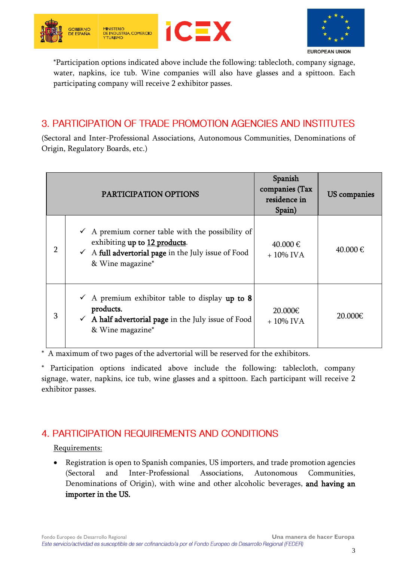





\*Participation options indicated above include the following: tablecloth, company signage, water, napkins, ice tub. Wine companies will also have glasses and a spittoon. Each participating company will receive 2 exhibitor passes.

## 3. PARTICIPATION OF TRADE PROMOTION AGENCIES AND INSTITUTES

(Sectoral and Inter-Professional Associations, Autonomous Communities, Denominations of Origin, Regulatory Boards, etc.)

|   | PARTICIPATION OPTIONS                                                                                                                                                              | Spanish<br>companies (Tax<br>residence in<br>Spain) | US companies |
|---|------------------------------------------------------------------------------------------------------------------------------------------------------------------------------------|-----------------------------------------------------|--------------|
| 2 | $\checkmark$ A premium corner table with the possibility of<br>exhibiting up to 12 products.<br>$\checkmark$ A full advertorial page in the July issue of Food<br>& Wine magazine* | 40.000 €<br>$+10\%$ IVA                             | 40.000 €     |
| 3 | $\checkmark$ A premium exhibitor table to display up to 8<br>products.<br>$\checkmark$ A half advertorial page in the July issue of Food<br>& Wine magazine*                       | 20.000€<br>$+10\%$ IVA                              | 20.000€      |

\* A maximum of two pages of the advertorial will be reserved for the exhibitors.

Participation options indicated above include the following: tablecloth, company signage, water, napkins, ice tub, wine glasses and a spittoon. Each participant will receive 2 exhibitor passes.

## 4. PARTICIPATION REQUIREMENTS AND CONDITIONS

#### Requirements:

• Registration is open to Spanish companies, US importers, and trade promotion agencies (Sectoral and Inter-Professional Associations, Autonomous Communities, Denominations of Origin), with wine and other alcoholic beverages, and having an importer in the US.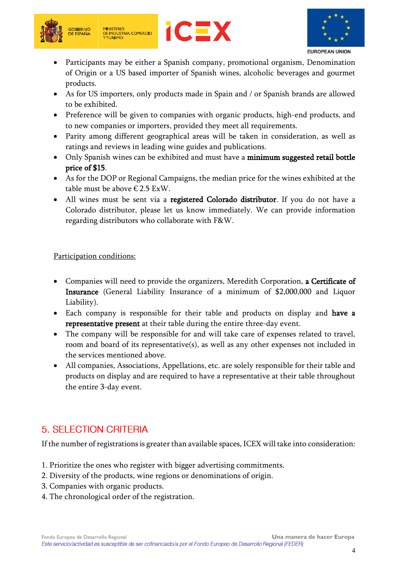





**EUROPEAN UNION** 

- Participants may be either a Spanish company, promotional organism, Denomination of Origin or a US based importer of Spanish wines, alcoholic beverages and gourmet products.
- As for US importers, only products made in Spain and / or Spanish brands are allowed to be exhibited.
- Preference will be given to companies with organic products, high-end products, and to new companies or importers, provided they meet all requirements.
- Parity among different geographical areas will be taken in consideration, as well as ratings and reviews in leading wine guides and publications.
- Only Spanish wines can be exhibited and must have a minimum suggested retail bottle price of \$15.
- As for the DOP or Regional Campaigns, the median price for the wines exhibited at the table must be above  $\epsilon$  2.5 ExW.
- All wines must be sent via a registered Colorado distributor. If you do not have a Colorado distributor, please let us know immediately. We can provide information regarding distributors who collaborate with F&W.

## Participation conditions:

- Companies will need to provide the organizers, Meredith Corporation, a Certificate of Insurance (General Liability Insurance of a minimum of \$2,000,000 and Liquor Liability).
- Each company is responsible for their table and products on display and have a representative present at their table during the entire three-day event.
- The company will be responsible for and will take care of expenses related to travel, room and board of its representative(s), as well as any other expenses not included in the services mentioned above.
- All companies, Associations, Appellations, etc. are solely responsible for their table and products on display and are required to have a representative at their table throughout the entire 3-day event.

## 5. SELECTION CRITERIA

If the number of registrations is greater than available spaces, ICEX will take into consideration:

- 1. Prioritize the ones who register with bigger advertising commitments.
- 2. Diversity of the products, wine regions or denominations of origin.
- 3. Companies with organic products.
- 4. The chronological order of the registration.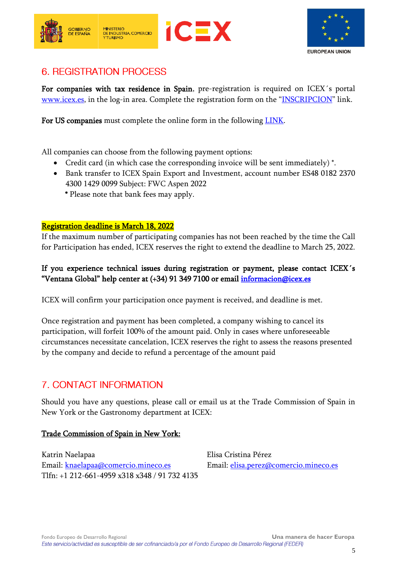



## **6. REGISTRATION PROCESS**

For companies with tax residence in Spain, pre-registration is required on ICEX's portal [www.icex.es,](http://www.icex.es/) in the log-in area. Complete the registration form on the "[INSCRIPCION](https://www.icex.es/icex/es/navegacion-principal/todos-nuestros-servicios/visitar-mercados/agenda/ACP2021896123.html)" link.

For US companies must complete the online form in the following [LINK.](https://docs.google.com/forms/d/e/1FAIpQLSclmmUCJXOZinsGGupXXpPvfTkovAc9keHCJ7qjrRkhYDCHaQ/viewform?usp=sf_link)

All companies can choose from the following payment options:

- Credit card (in which case the corresponding invoice will be sent immediately) \*.
- Bank transfer to ICEX Spain Export and Investment, account number ES48 0182 2370 4300 1429 0099 Subject: FWC Aspen 2022
	- \* Please note that bank fees may apply.

#### Registration deadline is March 18, 2022

If the maximum number of participating companies has not been reached by the time the Call for Participation has ended, ICEX reserves the right to extend the deadline to March 25, 2022.

## If you experience technical issues during registration or payment, please contact ICEX´s "Ventana Global" help center at (+34) 91 349 7100 or email [informacion@icex.es](mailto:informacion@icex.es)

ICEX will confirm your participation once payment is received, and deadline is met.

Once registration and payment has been completed, a company wishing to cancel its participation, will forfeit 100% of the amount paid. Only in cases where unforeseeable circumstances necessitate cancelation, ICEX reserves the right to assess the reasons presented by the company and decide to refund a percentage of the amount paid

## **7. CONTACT INFORMATION**

Should you have any questions, please call or email us at the Trade Commission of Spain in New York or the Gastronomy department at ICEX:

#### Trade Commission of Spain in New York:

Katrin Naelapaa **Elisa Cristina Pérez** Email: [knaelapaa@comercio.mineco.es](mailto:knaelapaa@comercio.mineco.es) Email: [elisa.perez@comercio.mineco.es](mailto:elisa.perez@comercio.mineco.es) Tlfn: +1 212-661-4959 x318 x348 / 91 732 4135